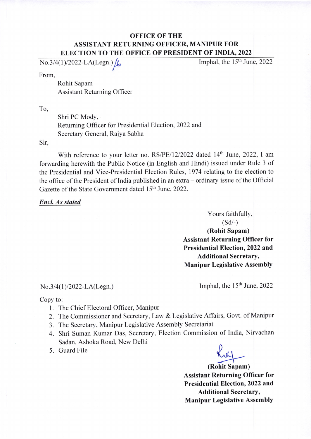## **OFFICE OF THE** ASSISTANT RETURNING OFFICER, MANIPUR FOR ELECTION TO THE OFFICE OF PRESIDENT OF INDIA,2O22

 $No.3/4(1)/2022-LA(Legn.)$ 

Imphal, the  $15<sup>th</sup>$  June, 2022

From,

Rohit Sapam Assistant Returning Officer

To,

Shri PC Mody, Returning Officer for Presidential Election,2022 and Secretary General, Rajya Sabha

Sir,

With reference to your letter no. RS/PE/12/2022 dated 14<sup>th</sup> June, 2022, I am forwarding herewith the Public Notice (in English and Hindi) issued under Rule 3 of the Presidential and Vice-Presidential Election Rules, 1974 relating to the election to the office of the President of India published in an extra – ordinary issue of the Official Gazette of the State Government dated 15<sup>th</sup> June, 2022.

#### Encl. As stated

Yours faithfully,  $(Sd/-)$ (Rohit Sapam) Assistant Returning Officer for Presidential Election, 2022 and Additional Secretary, Manipur Legislative Assembly

No.3/4(1)/2022-LA(Legn.) Imphal, the 15<sup>th</sup> June, 2022

Copy to:

- 1. The Chief Electoral Officer, Manipur
- 2. The Commissioner and Secretary, Law & Legislative Affairs, Govt. of Manipur
- 3. The Secretary, Manipur Legislative Assembly Secretariat
- 4. Shri Suman Kumar Das, Secretary, Election Commission of India, Nirvachan Sadan, Ashoka Road, New Delhi
- 5. Guard File



(Rohit Sapam) Assistant Returning Officer for Presidential Election, 2022 and Additional Secretary, Manipur Legislative AssemblY